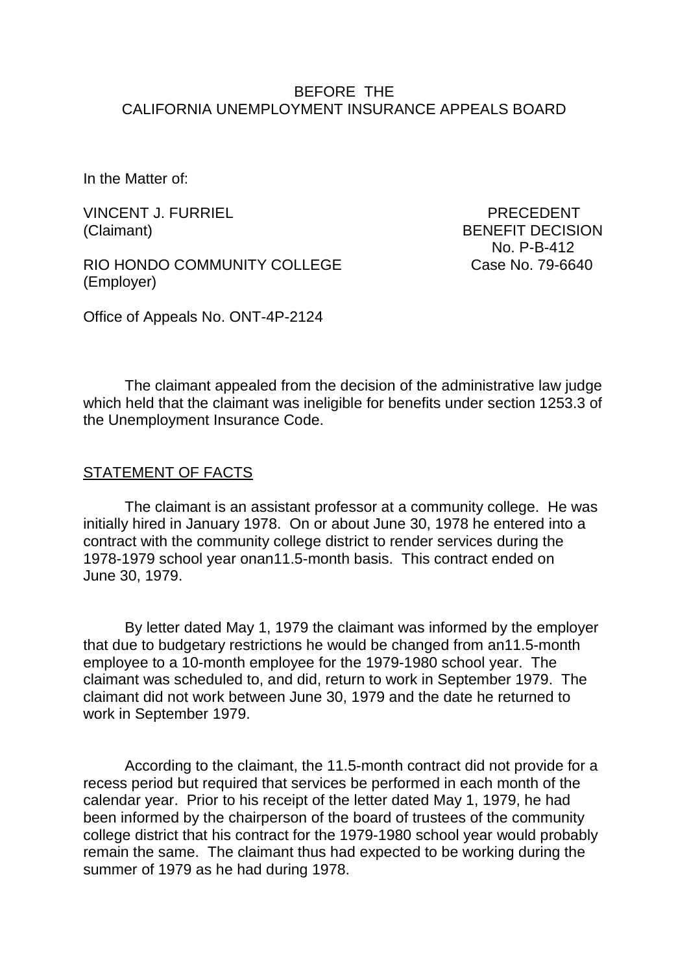### BEFORE THE CALIFORNIA UNEMPLOYMENT INSURANCE APPEALS BOARD

In the Matter of:

VINCENT J. FURRIEL PRECEDENT (Claimant) BENEFIT DECISION

RIO HONDO COMMUNITY COLLEGE Case No. 79-6640 (Employer)

No. P-B-412

Office of Appeals No. ONT-4P-2124

The claimant appealed from the decision of the administrative law judge which held that the claimant was ineligible for benefits under section 1253.3 of the Unemployment Insurance Code.

#### STATEMENT OF FACTS

The claimant is an assistant professor at a community college. He was initially hired in January 1978. On or about June 30, 1978 he entered into a contract with the community college district to render services during the 1978-1979 school year onan11.5-month basis. This contract ended on June 30, 1979.

By letter dated May 1, 1979 the claimant was informed by the employer that due to budgetary restrictions he would be changed from an11.5-month employee to a 10-month employee for the 1979-1980 school year. The claimant was scheduled to, and did, return to work in September 1979. The claimant did not work between June 30, 1979 and the date he returned to work in September 1979.

According to the claimant, the 11.5-month contract did not provide for a recess period but required that services be performed in each month of the calendar year. Prior to his receipt of the letter dated May 1, 1979, he had been informed by the chairperson of the board of trustees of the community college district that his contract for the 1979-1980 school year would probably remain the same. The claimant thus had expected to be working during the summer of 1979 as he had during 1978.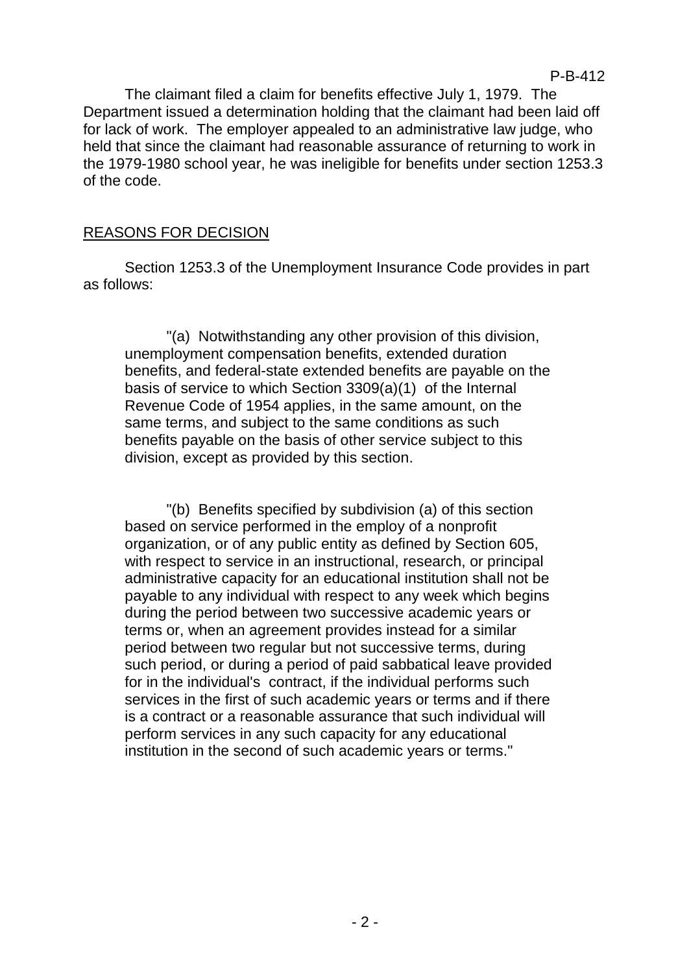The claimant filed a claim for benefits effective July 1, 1979. The Department issued a determination holding that the claimant had been laid off for lack of work. The employer appealed to an administrative law judge, who held that since the claimant had reasonable assurance of returning to work in the 1979-1980 school year, he was ineligible for benefits under section 1253.3 of the code.

# REASONS FOR DECISION

Section 1253.3 of the Unemployment Insurance Code provides in part as follows:

"(a) Notwithstanding any other provision of this division, unemployment compensation benefits, extended duration benefits, and federal-state extended benefits are payable on the basis of service to which Section 3309(a)(1) of the Internal Revenue Code of 1954 applies, in the same amount, on the same terms, and subject to the same conditions as such benefits payable on the basis of other service subject to this division, except as provided by this section.

"(b) Benefits specified by subdivision (a) of this section based on service performed in the employ of a nonprofit organization, or of any public entity as defined by Section 605, with respect to service in an instructional, research, or principal administrative capacity for an educational institution shall not be payable to any individual with respect to any week which begins during the period between two successive academic years or terms or, when an agreement provides instead for a similar period between two regular but not successive terms, during such period, or during a period of paid sabbatical leave provided for in the individual's contract, if the individual performs such services in the first of such academic years or terms and if there is a contract or a reasonable assurance that such individual will perform services in any such capacity for any educational institution in the second of such academic years or terms."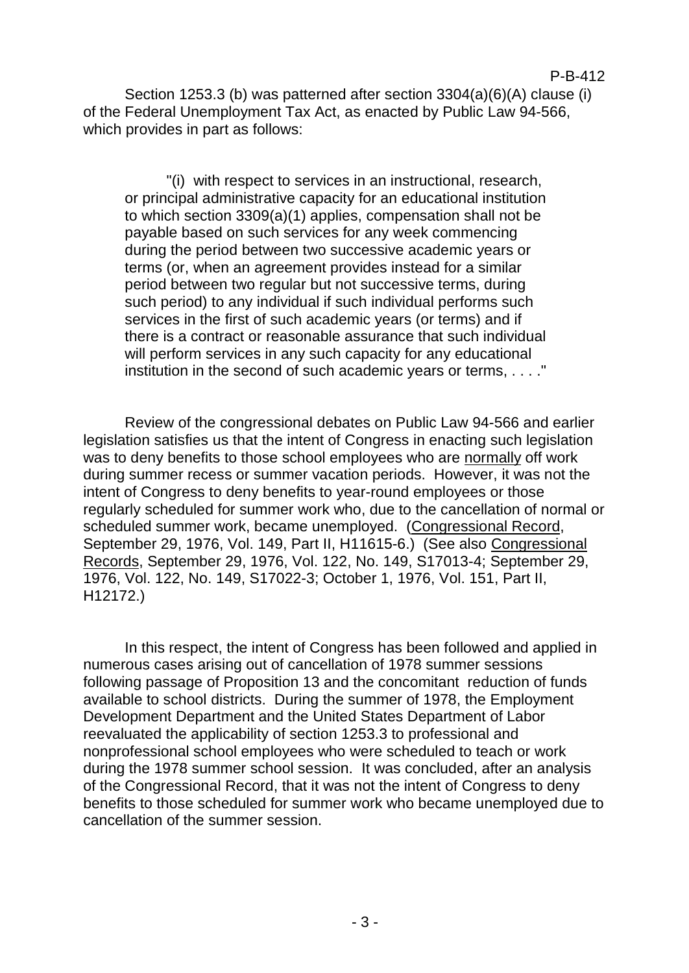#### P-B-412

Section 1253.3 (b) was patterned after section 3304(a)(6)(A) clause (i) of the Federal Unemployment Tax Act, as enacted by Public Law 94-566, which provides in part as follows:

"(i) with respect to services in an instructional, research, or principal administrative capacity for an educational institution to which section 3309(a)(1) applies, compensation shall not be payable based on such services for any week commencing during the period between two successive academic years or terms (or, when an agreement provides instead for a similar period between two regular but not successive terms, during such period) to any individual if such individual performs such services in the first of such academic years (or terms) and if there is a contract or reasonable assurance that such individual will perform services in any such capacity for any educational institution in the second of such academic years or terms, . . . . "

Review of the congressional debates on Public Law 94-566 and earlier legislation satisfies us that the intent of Congress in enacting such legislation was to deny benefits to those school employees who are normally off work during summer recess or summer vacation periods. However, it was not the intent of Congress to deny benefits to year-round employees or those regularly scheduled for summer work who, due to the cancellation of normal or scheduled summer work, became unemployed. (Congressional Record, September 29, 1976, Vol. 149, Part II, H11615-6.) (See also Congressional Records, September 29, 1976, Vol. 122, No. 149, S17013-4; September 29, 1976, Vol. 122, No. 149, S17022-3; October 1, 1976, Vol. 151, Part II, H12172.)

In this respect, the intent of Congress has been followed and applied in numerous cases arising out of cancellation of 1978 summer sessions following passage of Proposition 13 and the concomitant reduction of funds available to school districts. During the summer of 1978, the Employment Development Department and the United States Department of Labor reevaluated the applicability of section 1253.3 to professional and nonprofessional school employees who were scheduled to teach or work during the 1978 summer school session. It was concluded, after an analysis of the Congressional Record, that it was not the intent of Congress to deny benefits to those scheduled for summer work who became unemployed due to cancellation of the summer session.